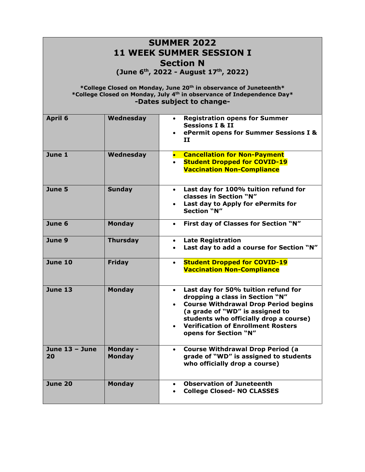| <b>SUMMER 2022</b><br><b>11 WEEK SUMMER SESSION I</b><br><b>Section N</b><br>(June 6 <sup>th</sup> , 2022 - August 17 <sup>th</sup> , 2022)<br>*College Closed on Monday, June 20th in observance of Juneteenth*<br>*College Closed on Monday, July 4th in observance of Independence Day*<br>-Dates subject to change- |                                  |                                                                                                                                                                                                                                                                                       |  |
|-------------------------------------------------------------------------------------------------------------------------------------------------------------------------------------------------------------------------------------------------------------------------------------------------------------------------|----------------------------------|---------------------------------------------------------------------------------------------------------------------------------------------------------------------------------------------------------------------------------------------------------------------------------------|--|
| April 6                                                                                                                                                                                                                                                                                                                 | Wednesday                        | <b>Registration opens for Summer</b><br>$\bullet$<br><b>Sessions I &amp; II</b><br>ePermit opens for Summer Sessions I &<br>${\bf II}$                                                                                                                                                |  |
| June 1                                                                                                                                                                                                                                                                                                                  | Wednesday                        | <b>Cancellation for Non-Payment</b><br><b>Student Dropped for COVID-19</b><br><b>Vaccination Non-Compliance</b>                                                                                                                                                                       |  |
| June 5                                                                                                                                                                                                                                                                                                                  | <b>Sunday</b>                    | Last day for 100% tuition refund for<br>$\bullet$<br>classes in Section "N"<br>Last day to Apply for ePermits for<br>$\bullet$<br><b>Section "N"</b>                                                                                                                                  |  |
| June 6                                                                                                                                                                                                                                                                                                                  | <b>Monday</b>                    | First day of Classes for Section "N"                                                                                                                                                                                                                                                  |  |
| June 9                                                                                                                                                                                                                                                                                                                  | <b>Thursday</b>                  | <b>Late Registration</b><br>$\bullet$<br>Last day to add a course for Section "N"<br>$\bullet$                                                                                                                                                                                        |  |
| <b>June 10</b>                                                                                                                                                                                                                                                                                                          | <b>Friday</b>                    | <b>Student Dropped for COVID-19</b><br>$\bullet$<br><b>Vaccination Non-Compliance</b>                                                                                                                                                                                                 |  |
| June 13                                                                                                                                                                                                                                                                                                                 | <b>Monday</b>                    | Last day for 50% tuition refund for<br>$\bullet$<br>dropping a class in Section "N"<br><b>Course Withdrawal Drop Period begins</b><br>(a grade of "WD" is assigned to<br>students who officially drop a course)<br><b>Verification of Enrollment Rosters</b><br>opens for Section "N" |  |
| June 13 - June<br>20                                                                                                                                                                                                                                                                                                    | <b>Monday -</b><br><b>Monday</b> | <b>Course Withdrawal Drop Period (a</b><br>grade of "WD" is assigned to students<br>who officially drop a course)                                                                                                                                                                     |  |
| <b>June 20</b>                                                                                                                                                                                                                                                                                                          | <b>Monday</b>                    | <b>Observation of Juneteenth</b><br>$\bullet$<br><b>College Closed- NO CLASSES</b>                                                                                                                                                                                                    |  |